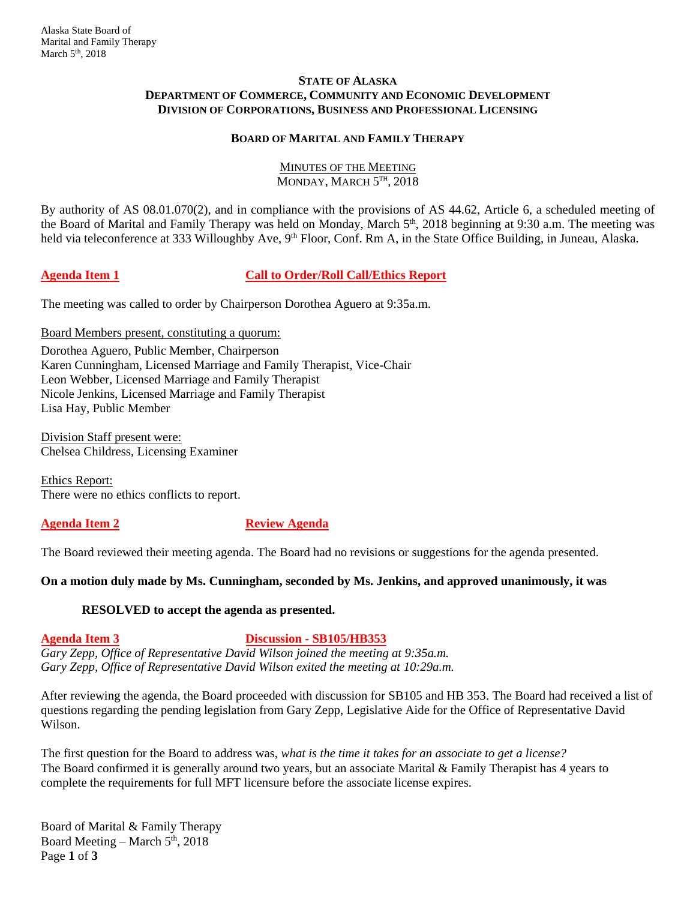#### **STATE OF ALASKA DEPARTMENT OF COMMERCE, COMMUNITY AND ECONOMIC DEVELOPMENT DIVISION OF CORPORATIONS, BUSINESS AND PROFESSIONAL LICENSING**

## **BOARD OF MARITAL AND FAMILY THERAPY**

### MINUTES OF THE MEETING MONDAY, MARCH  $5^{\text{th}}$ , 2018

By authority of AS 08.01.070(2), and in compliance with the provisions of AS 44.62, Article 6, a scheduled meeting of the Board of Marital and Family Therapy was held on Monday, March 5<sup>th</sup>, 2018 beginning at 9:30 a.m. The meeting was held via teleconference at 333 Willoughby Ave, 9<sup>th</sup> Floor, Conf. Rm A, in the State Office Building, in Juneau, Alaska.

# **Agenda Item 1 Call to Order/Roll Call/Ethics Report**

The meeting was called to order by Chairperson Dorothea Aguero at 9:35a.m.

#### Board Members present, constituting a quorum:

Dorothea Aguero, Public Member, Chairperson Karen Cunningham, Licensed Marriage and Family Therapist, Vice-Chair Leon Webber, Licensed Marriage and Family Therapist Nicole Jenkins, Licensed Marriage and Family Therapist Lisa Hay, Public Member

Division Staff present were: Chelsea Childress, Licensing Examiner

Ethics Report: There were no ethics conflicts to report.

### **Agenda Item 2 Review Agenda**

The Board reviewed their meeting agenda. The Board had no revisions or suggestions for the agenda presented.

### **On a motion duly made by Ms. Cunningham, seconded by Ms. Jenkins, and approved unanimously, it was**

### **RESOLVED to accept the agenda as presented.**

# **Agenda Item 3 Discussion - SB105/HB353**

*Gary Zepp, Office of Representative David Wilson joined the meeting at 9:35a.m. Gary Zepp, Office of Representative David Wilson exited the meeting at 10:29a.m.* 

After reviewing the agenda, the Board proceeded with discussion for SB105 and HB 353. The Board had received a list of questions regarding the pending legislation from Gary Zepp, Legislative Aide for the Office of Representative David Wilson.

The first question for the Board to address was, *what is the time it takes for an associate to get a license?*  The Board confirmed it is generally around two years, but an associate Marital & Family Therapist has 4 years to complete the requirements for full MFT licensure before the associate license expires.

Board of Marital & Family Therapy Board Meeting – March  $5<sup>th</sup>$ , 2018 Page **1** of **3**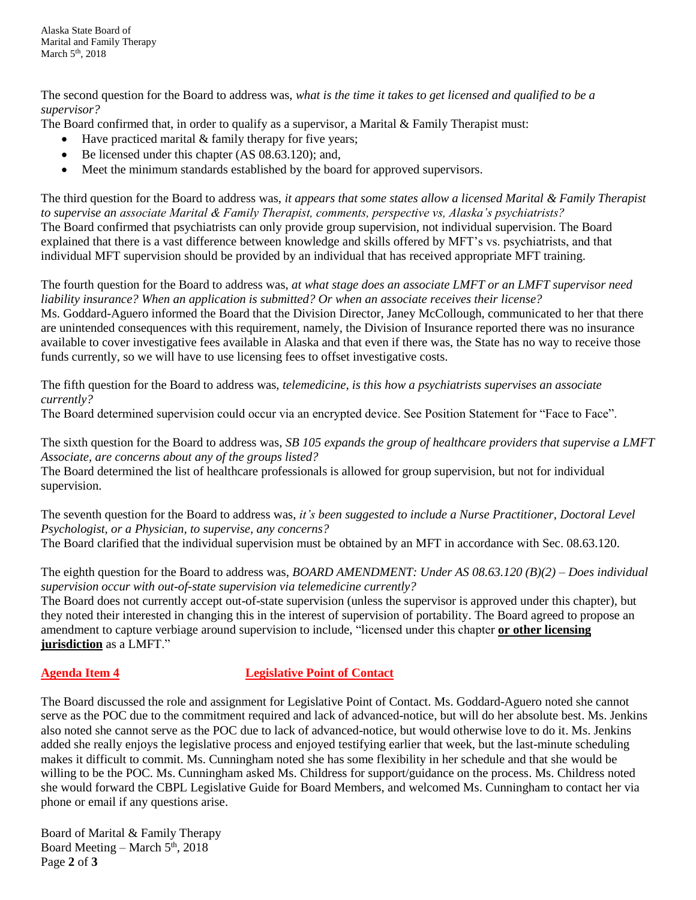The second question for the Board to address was, *what is the time it takes to get licensed and qualified to be a supervisor?*

The Board confirmed that, in order to qualify as a supervisor, a Marital & Family Therapist must:

- $\bullet$  Have practiced marital & family therapy for five years;
- Be licensed under this chapter (AS 08.63.120); and,
- Meet the minimum standards established by the board for approved supervisors.

The third question for the Board to address was, *it appears that some states allow a licensed Marital & Family Therapist to supervise an associate Marital & Family Therapist, comments, perspective vs, Alaska's psychiatrists?* The Board confirmed that psychiatrists can only provide group supervision, not individual supervision. The Board explained that there is a vast difference between knowledge and skills offered by MFT's vs. psychiatrists, and that individual MFT supervision should be provided by an individual that has received appropriate MFT training.

The fourth question for the Board to address was, *at what stage does an associate LMFT or an LMFT supervisor need liability insurance? When an application is submitted? Or when an associate receives their license?* Ms. Goddard-Aguero informed the Board that the Division Director, Janey McCollough, communicated to her that there are unintended consequences with this requirement, namely, the Division of Insurance reported there was no insurance available to cover investigative fees available in Alaska and that even if there was, the State has no way to receive those funds currently, so we will have to use licensing fees to offset investigative costs.

The fifth question for the Board to address was, *telemedicine, is this how a psychiatrists supervises an associate currently?*

The Board determined supervision could occur via an encrypted device. See Position Statement for "Face to Face".

The sixth question for the Board to address was, *SB 105 expands the group of healthcare providers that supervise a LMFT Associate, are concerns about any of the groups listed?*

The Board determined the list of healthcare professionals is allowed for group supervision, but not for individual supervision.

The seventh question for the Board to address was, *it's been suggested to include a Nurse Practitioner, Doctoral Level Psychologist, or a Physician, to supervise, any concerns?* The Board clarified that the individual supervision must be obtained by an MFT in accordance with Sec. 08.63.120.

The eighth question for the Board to address was, *BOARD AMENDMENT: Under AS 08.63.120 (B)(2) – Does individual supervision occur with out-of-state supervision via telemedicine currently?*

The Board does not currently accept out-of-state supervision (unless the supervisor is approved under this chapter), but they noted their interested in changing this in the interest of supervision of portability. The Board agreed to propose an amendment to capture verbiage around supervision to include, "licensed under this chapter **or other licensing jurisdiction** as a LMFT."

### **Agenda Item 4 Legislative Point of Contact**

The Board discussed the role and assignment for Legislative Point of Contact. Ms. Goddard-Aguero noted she cannot serve as the POC due to the commitment required and lack of advanced-notice, but will do her absolute best. Ms. Jenkins also noted she cannot serve as the POC due to lack of advanced-notice, but would otherwise love to do it. Ms. Jenkins added she really enjoys the legislative process and enjoyed testifying earlier that week, but the last-minute scheduling makes it difficult to commit. Ms. Cunningham noted she has some flexibility in her schedule and that she would be willing to be the POC. Ms. Cunningham asked Ms. Childress for support/guidance on the process. Ms. Childress noted she would forward the CBPL Legislative Guide for Board Members, and welcomed Ms. Cunningham to contact her via phone or email if any questions arise.

Board of Marital & Family Therapy Board Meeting – March  $5<sup>th</sup>$ , 2018 Page **2** of **3**